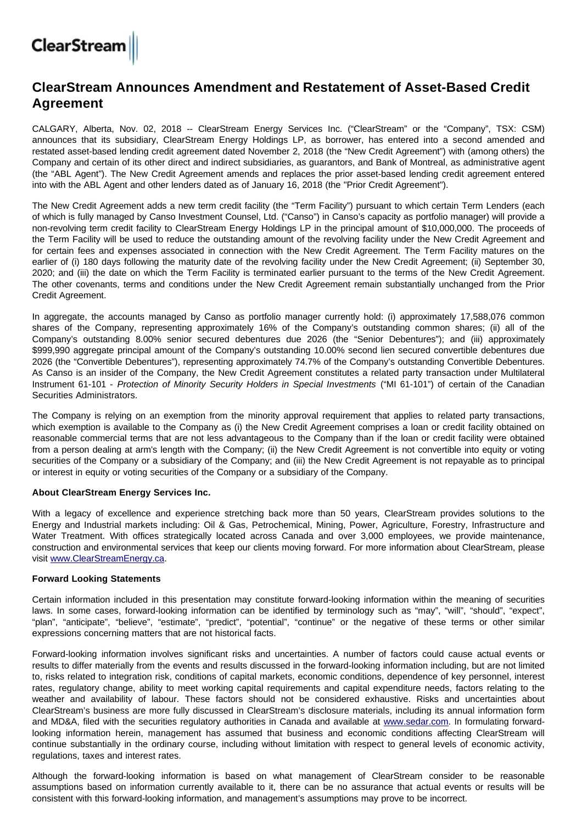# **ClearStream**

## **ClearStream Announces Amendment and Restatement of Asset-Based Credit Agreement**

CALGARY, Alberta, Nov. 02, 2018 -- ClearStream Energy Services Inc. ("ClearStream" or the "Company", TSX: CSM) announces that its subsidiary, ClearStream Energy Holdings LP, as borrower, has entered into a second amended and restated asset-based lending credit agreement dated November 2, 2018 (the "New Credit Agreement") with (among others) the Company and certain of its other direct and indirect subsidiaries, as guarantors, and Bank of Montreal, as administrative agent (the "ABL Agent"). The New Credit Agreement amends and replaces the prior asset-based lending credit agreement entered into with the ABL Agent and other lenders dated as of January 16, 2018 (the "Prior Credit Agreement").

The New Credit Agreement adds a new term credit facility (the "Term Facility") pursuant to which certain Term Lenders (each of which is fully managed by Canso Investment Counsel, Ltd. ("Canso") in Canso's capacity as portfolio manager) will provide a non-revolving term credit facility to ClearStream Energy Holdings LP in the principal amount of \$10,000,000. The proceeds of the Term Facility will be used to reduce the outstanding amount of the revolving facility under the New Credit Agreement and for certain fees and expenses associated in connection with the New Credit Agreement. The Term Facility matures on the earlier of (i) 180 days following the maturity date of the revolving facility under the New Credit Agreement; (ii) September 30, 2020; and (iii) the date on which the Term Facility is terminated earlier pursuant to the terms of the New Credit Agreement. The other covenants, terms and conditions under the New Credit Agreement remain substantially unchanged from the Prior Credit Agreement.

In aggregate, the accounts managed by Canso as portfolio manager currently hold: (i) approximately 17,588,076 common shares of the Company, representing approximately 16% of the Company's outstanding common shares; (ii) all of the Company's outstanding 8.00% senior secured debentures due 2026 (the "Senior Debentures"); and (iii) approximately \$999,990 aggregate principal amount of the Company's outstanding 10.00% second lien secured convertible debentures due 2026 (the "Convertible Debentures"), representing approximately 74.7% of the Company's outstanding Convertible Debentures. As Canso is an insider of the Company, the New Credit Agreement constitutes a related party transaction under Multilateral Instrument 61-101 - Protection of Minority Security Holders in Special Investments ("MI 61-101") of certain of the Canadian Securities Administrators.

The Company is relying on an exemption from the minority approval requirement that applies to related party transactions, which exemption is available to the Company as (i) the New Credit Agreement comprises a loan or credit facility obtained on reasonable commercial terms that are not less advantageous to the Company than if the loan or credit facility were obtained from a person dealing at arm's length with the Company; (ii) the New Credit Agreement is not convertible into equity or voting securities of the Company or a subsidiary of the Company; and (iii) the New Credit Agreement is not repayable as to principal or interest in equity or voting securities of the Company or a subsidiary of the Company.

### **About ClearStream Energy Services Inc.**

With a legacy of excellence and experience stretching back more than 50 years, ClearStream provides solutions to the Energy and Industrial markets including: Oil & Gas, Petrochemical, Mining, Power, Agriculture, Forestry, Infrastructure and Water Treatment. With offices strategically located across Canada and over 3,000 employees, we provide maintenance, construction and environmental services that keep our clients moving forward. For more information about ClearStream, please visit [www.ClearStreamEnergy.ca](http://www.clearstreamenergy.ca/).

### **Forward Looking Statements**

Certain information included in this presentation may constitute forward-looking information within the meaning of securities laws. In some cases, forward-looking information can be identified by terminology such as "may", "will", "should", "expect", "plan", "anticipate", "believe", "estimate", "predict", "potential", "continue" or the negative of these terms or other similar expressions concerning matters that are not historical facts.

Forward-looking information involves significant risks and uncertainties. A number of factors could cause actual events or results to differ materially from the events and results discussed in the forward-looking information including, but are not limited to, risks related to integration risk, conditions of capital markets, economic conditions, dependence of key personnel, interest rates, regulatory change, ability to meet working capital requirements and capital expenditure needs, factors relating to the weather and availability of labour. These factors should not be considered exhaustive. Risks and uncertainties about ClearStream's business are more fully discussed in ClearStream's disclosure materials, including its annual information form and MD&A, filed with the securities regulatory authorities in Canada and available at [www.sedar.com](http://www.sedar.com/). In formulating forwardlooking information herein, management has assumed that business and economic conditions affecting ClearStream will continue substantially in the ordinary course, including without limitation with respect to general levels of economic activity, regulations, taxes and interest rates.

Although the forward-looking information is based on what management of ClearStream consider to be reasonable assumptions based on information currently available to it, there can be no assurance that actual events or results will be consistent with this forward-looking information, and management's assumptions may prove to be incorrect.